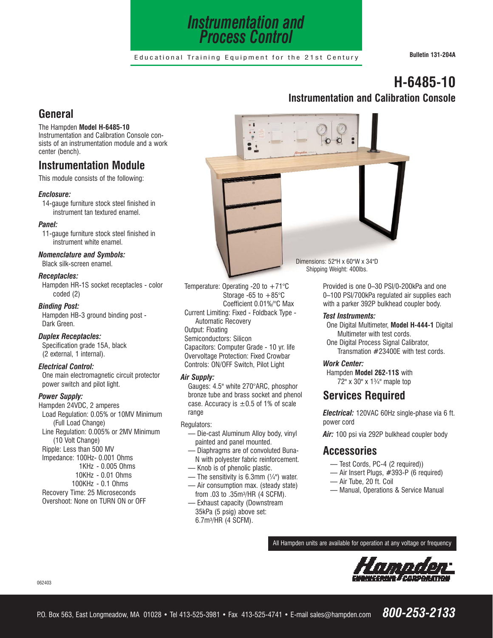

Educational Training Equipment for the 21st Century **Bulletin 131-204A**

. .

# **H-6485-10 Instrumentation and Calibration Console**

## **General**

#### The Hampden **Model H-6485-10**

Instrumentation and Calibration Console consists of an instrumentation module and a work center (bench).

# **Instrumentation Module**

This module consists of the following:

## *Enclosure:*

14-gauge furniture stock steel finished in instrument tan textured enamel.

#### *Panel:*

11-gauge furniture stock steel finished in instrument white enamel.

#### *Nomenclature and Symbols:*

Black silk-screen enamel. *Receptacles:*

Hampden HR-1S socket receptacles - color coded (2)

#### *Binding Post:*

Hampden HB-3 ground binding post - Dark Green.

#### *Duplex Receptacles:*

Specification grade 15A, black (2 external, 1 internal).

#### *Electrical Control:*

One main electromagnetic circuit protector power switch and pilot light.

#### *Power Supply:*

Hampden 24VDC, 2 amperes Load Regulation: 0.05% or 10MV Minimum (Full Load Change) Line Regulation: 0.005% or 2MV Minimum (10 Volt Change) Ripple: Less than 500 MV Impedance: 100Hz- 0.001 Ohms 1KHz - 0.005 Ohms 10KHz - 0.01 Ohms 100KHz - 0.1 Ohms Recovery Time: 25 Microseconds Overshoot: None on TURN ON or OFF

Temperature: Operating -20 to  $+71^{\circ}$ C Storage -65 to  $+85^{\circ}$ C Coefficient 0.01%/°C Max Current Limiting: Fixed - Foldback Type - Automatic Recovery Output: Floating Semiconductors: Silicon Capacitors: Computer Grade - 10 yr. life

Overvoltage Protection: Fixed Crowbar Controls: ON/OFF Switch, Pilot Light

### *Air Supply:*

Gauges: 4.5" white 270°ARC, phosphor bronze tube and brass socket and phenol case. Accuracy is  $\pm 0.5$  of 1% of scale range

Regulators:

- Die-cast Aluminum Alloy body, vinyl painted and panel mounted.
- Diaphragms are of convoluted Buna-N with polyester fabric reinforcement.
- Knob is of phenolic plastic.
- The sensitivity is 6.3mm  $(\frac{1}{4})$  water.
- Air consumption max. (steady state) from .03 to .35m3/HR (4 SCFM).
- Exhaust capacity (Downstream 35kPa (5 psig) above set: 6.7m3/HR (4 SCFM).

Dimensions: 52"H x 60"W x 34"D Shipping Weight: 400lbs.

> Provided is one 0–30 PSI/0-200kPa and one 0–100 PSI/700kPa regulated air supplies each with a parker 392P bulkhead coupler body.

#### *Test Instruments:*

- One Digital Multimeter, **Model H-444-1** Digital Multimeter with test cords.
- One Digital Process Signal Calibrator, Transmation #23400E with test cords.

## *Work Center:*

Hampden **Model 262-11S** with 72" x 30" x 1¾" maple top

## **Services Required**

*Electrical:* 120VAC 60Hz single-phase via 6 ft. power cord

*Air:* 100 psi via 292P bulkhead coupler body

## **Accessories**

- Test Cords, PC-4 (2 required))
- Air Insert Plugs, #393-P (6 required)
- Air Tube, 20 ft. Coil
- Manual, Operations & Service Manual

All Hampden units are available for operation at any voltage or frequency